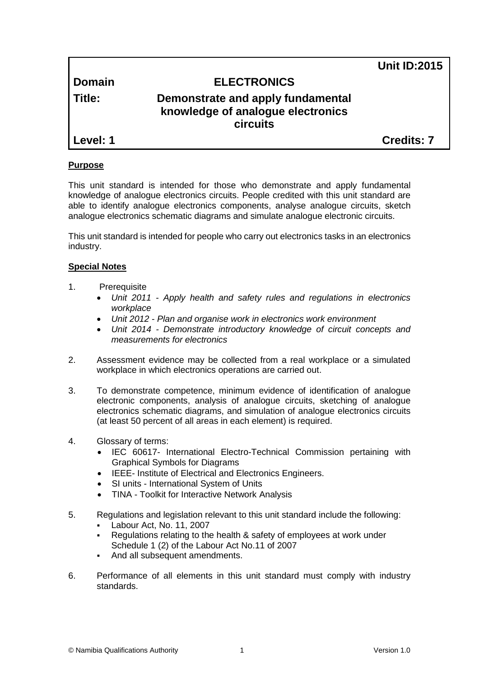**Unit ID:2015**

# **Domain ELECTRONICS**

# **Title: Demonstrate and apply fundamental knowledge of analogue electronics circuits**

**Level: 1 Credits: 7**

# **Purpose**

This unit standard is intended for those who demonstrate and apply fundamental knowledge of analogue electronics circuits. People credited with this unit standard are able to identify analogue electronics components, analyse analogue circuits, sketch analogue electronics schematic diagrams and simulate analogue electronic circuits.

This unit standard is intended for people who carry out electronics tasks in an electronics industry.

# **Special Notes**

- 1. Prerequisite
	- *Unit 2011 - Apply health and safety rules and regulations in electronics workplace*
	- *Unit 2012 - Plan and organise work in electronics work environment*
	- *Unit 2014 - Demonstrate introductory knowledge of circuit concepts and measurements for electronics*
- 2. Assessment evidence may be collected from a real workplace or a simulated workplace in which electronics operations are carried out.
- 3. To demonstrate competence, minimum evidence of identification of analogue electronic components, analysis of analogue circuits, sketching of analogue electronics schematic diagrams, and simulation of analogue electronics circuits (at least 50 percent of all areas in each element) is required.
- 4. Glossary of terms:
	- IEC 60617- International Electro-Technical Commission pertaining with Graphical Symbols for Diagrams
	- IEEE- Institute of Electrical and Electronics Engineers.
	- SI units International System of Units
	- TINA Toolkit for Interactive Network Analysis
- 5. Regulations and legislation relevant to this unit standard include the following:
	- Labour Act, No. 11, 2007
	- Regulations relating to the health & safety of employees at work under Schedule 1 (2) of the Labour Act No.11 of 2007
	- And all subsequent amendments.
- 6. Performance of all elements in this unit standard must comply with industry standards.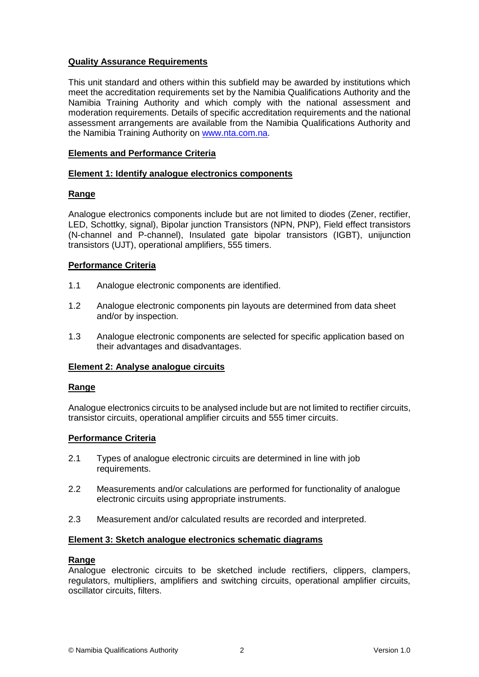# **Quality Assurance Requirements**

This unit standard and others within this subfield may be awarded by institutions which meet the accreditation requirements set by the Namibia Qualifications Authority and the Namibia Training Authority and which comply with the national assessment and moderation requirements. Details of specific accreditation requirements and the national assessment arrangements are available from the Namibia Qualifications Authority and the Namibia Training Authority on [www.nta.com.na.](http://www.nta.com.na/)

# **Elements and Performance Criteria**

# **Element 1: Identify analogue electronics components**

# **Range**

Analogue electronics components include but are not limited to diodes (Zener, rectifier, LED, Schottky, signal), Bipolar junction Transistors (NPN, PNP), Field effect transistors (N-channel and P-channel), Insulated gate bipolar transistors (IGBT), unijunction transistors (UJT), operational amplifiers, 555 timers.

# **Performance Criteria**

- 1.1 Analogue electronic components are identified.
- 1.2 Analogue electronic components pin layouts are determined from data sheet and/or by inspection.
- 1.3 Analogue electronic components are selected for specific application based on their advantages and disadvantages.

# **Element 2: Analyse analogue circuits**

#### **Range**

Analogue electronics circuits to be analysed include but are not limited to rectifier circuits, transistor circuits, operational amplifier circuits and 555 timer circuits.

#### **Performance Criteria**

- 2.1 Types of analogue electronic circuits are determined in line with job requirements.
- 2.2 Measurements and/or calculations are performed for functionality of analogue electronic circuits using appropriate instruments.
- 2.3 Measurement and/or calculated results are recorded and interpreted.

#### **Element 3: Sketch analogue electronics schematic diagrams**

#### **Range**

Analogue electronic circuits to be sketched include rectifiers, clippers, clampers, regulators, multipliers, amplifiers and switching circuits, operational amplifier circuits, oscillator circuits, filters.